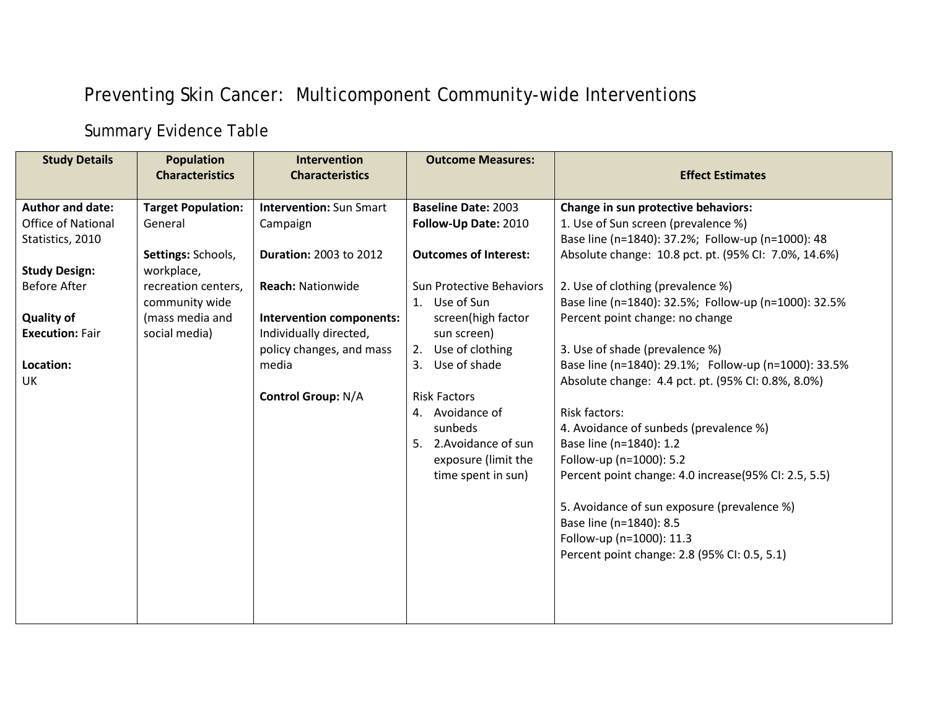## Preventing Skin Cancer: Multicomponent Community-wide Interventions

## Summary Evidence Table

| <b>Study Details</b>      | <b>Population</b><br><b>Characteristics</b> | <b>Intervention</b><br><b>Characteristics</b> | <b>Outcome Measures:</b>        | <b>Effect Estimates</b>                              |
|---------------------------|---------------------------------------------|-----------------------------------------------|---------------------------------|------------------------------------------------------|
| Author and date:          | <b>Target Population:</b>                   | <b>Intervention: Sun Smart</b>                | <b>Baseline Date: 2003</b>      | Change in sun protective behaviors:                  |
| <b>Office of National</b> | General                                     | Campaign                                      | Follow-Up Date: 2010            | 1. Use of Sun screen (prevalence %)                  |
| Statistics, 2010          |                                             |                                               |                                 | Base line (n=1840): 37.2%; Follow-up (n=1000): 48    |
|                           | Settings: Schools,                          | <b>Duration: 2003 to 2012</b>                 | <b>Outcomes of Interest:</b>    | Absolute change: 10.8 pct. pt. (95% CI: 7.0%, 14.6%) |
| <b>Study Design:</b>      | workplace,                                  |                                               |                                 |                                                      |
| <b>Before After</b>       | recreation centers,                         | <b>Reach: Nationwide</b>                      | <b>Sun Protective Behaviors</b> | 2. Use of clothing (prevalence %)                    |
|                           | community wide                              |                                               | 1. Use of Sun                   | Base line (n=1840): 32.5%; Follow-up (n=1000): 32.5% |
| <b>Quality of</b>         | (mass media and                             | Intervention components:                      | screen(high factor              | Percent point change: no change                      |
| <b>Execution: Fair</b>    | social media)                               | Individually directed,                        | sun screen)                     |                                                      |
|                           |                                             | policy changes, and mass                      | Use of clothing<br>2.           | 3. Use of shade (prevalence %)                       |
| Location:                 |                                             | media                                         | 3. Use of shade                 | Base line (n=1840): 29.1%; Follow-up (n=1000): 33.5% |
| <b>UK</b>                 |                                             |                                               |                                 | Absolute change: 4.4 pct. pt. (95% CI: 0.8%, 8.0%)   |
|                           |                                             | <b>Control Group: N/A</b>                     | <b>Risk Factors</b>             |                                                      |
|                           |                                             |                                               | 4. Avoidance of                 | <b>Risk factors:</b>                                 |
|                           |                                             |                                               | sunbeds                         | 4. Avoidance of sunbeds (prevalence %)               |
|                           |                                             |                                               | 5. 2. Avoidance of sun          | Base line (n=1840): 1.2                              |
|                           |                                             |                                               | exposure (limit the             | Follow-up (n=1000): 5.2                              |
|                           |                                             |                                               | time spent in sun)              | Percent point change: 4.0 increase(95% CI: 2.5, 5.5) |
|                           |                                             |                                               |                                 | 5. Avoidance of sun exposure (prevalence %)          |
|                           |                                             |                                               |                                 | Base line (n=1840): 8.5                              |
|                           |                                             |                                               |                                 | Follow-up (n=1000): 11.3                             |
|                           |                                             |                                               |                                 | Percent point change: 2.8 (95% CI: 0.5, 5.1)         |
|                           |                                             |                                               |                                 |                                                      |
|                           |                                             |                                               |                                 |                                                      |
|                           |                                             |                                               |                                 |                                                      |
|                           |                                             |                                               |                                 |                                                      |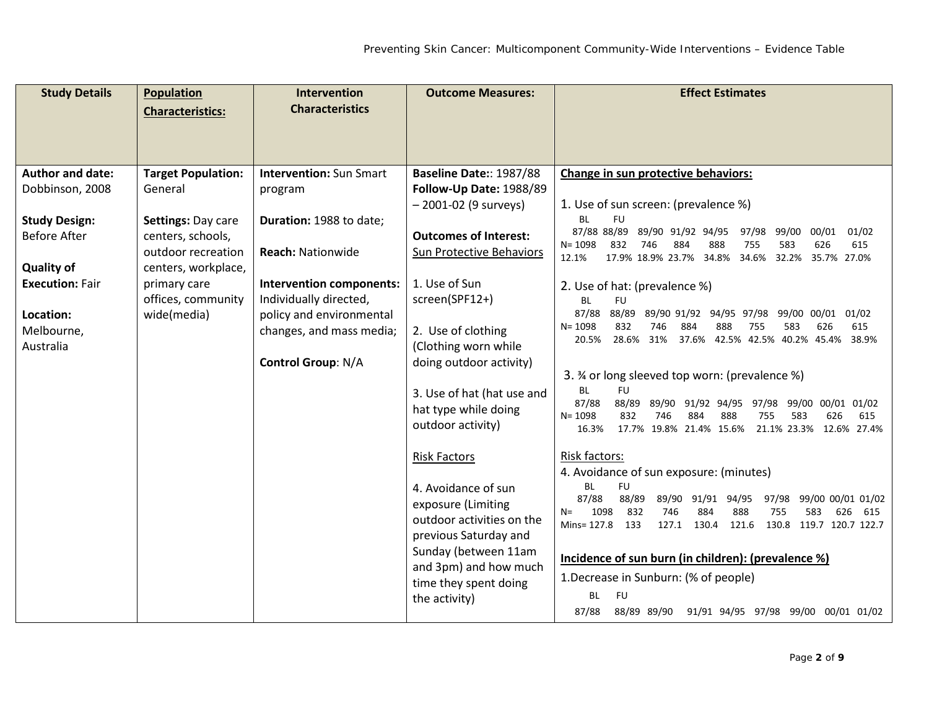| <b>Study Details</b>    | <b>Population</b>                       | <b>Intervention</b>            | <b>Outcome Measures:</b>                           | <b>Effect Estimates</b>                                                                                                            |
|-------------------------|-----------------------------------------|--------------------------------|----------------------------------------------------|------------------------------------------------------------------------------------------------------------------------------------|
|                         | <b>Characteristics:</b>                 | <b>Characteristics</b>         |                                                    |                                                                                                                                    |
|                         |                                         |                                |                                                    |                                                                                                                                    |
|                         |                                         |                                |                                                    |                                                                                                                                    |
| <b>Author and date:</b> | <b>Target Population:</b>               | <b>Intervention: Sun Smart</b> | Baseline Date:: 1987/88                            | Change in sun protective behaviors:                                                                                                |
| Dobbinson, 2008         | General                                 | program                        | Follow-Up Date: 1988/89                            |                                                                                                                                    |
|                         |                                         |                                | $-2001-02$ (9 surveys)                             | 1. Use of sun screen: (prevalence %)                                                                                               |
| <b>Study Design:</b>    | Settings: Day care                      | Duration: 1988 to date;        |                                                    | <b>BL</b><br><b>FU</b><br>87/88 88/89<br>89/90 91/92 94/95<br>97/98<br>99/00<br>00/01<br>01/02                                     |
| <b>Before After</b>     | centers, schools,<br>outdoor recreation | <b>Reach: Nationwide</b>       | <b>Outcomes of Interest:</b>                       | $N = 1098$<br>832<br>746<br>884<br>888<br>755<br>583<br>626<br>615                                                                 |
| <b>Quality of</b>       | centers, workplace,                     |                                | Sun Protective Behaviors                           | 12.1%<br>17.9% 18.9% 23.7% 34.8%<br>34.6% 32.2%<br>35.7% 27.0%                                                                     |
| <b>Execution: Fair</b>  | primary care                            | Intervention components:       | 1. Use of Sun                                      | 2. Use of hat: (prevalence %)                                                                                                      |
|                         | offices, community                      | Individually directed,         | screen(SPF12+)                                     | BL<br><b>FU</b>                                                                                                                    |
| Location:               | wide(media)                             | policy and environmental       |                                                    | 87/88<br>88/89<br>89/90 91/92 94/95 97/98<br>01/02<br>99/00 00/01                                                                  |
| Melbourne,              |                                         | changes, and mass media;       | 2. Use of clothing                                 | 832<br>615<br>$N = 1098$<br>746<br>884<br>888<br>583<br>626<br>755<br>28.6% 31%<br>37.6% 42.5% 42.5% 40.2% 45.4%<br>20.5%<br>38.9% |
| Australia               |                                         |                                | (Clothing worn while                               |                                                                                                                                    |
|                         |                                         | <b>Control Group: N/A</b>      | doing outdoor activity)                            |                                                                                                                                    |
|                         |                                         |                                |                                                    | 3. % or long sleeved top worn: (prevalence %)<br><b>BL</b><br><b>FU</b>                                                            |
|                         |                                         |                                | 3. Use of hat (hat use and<br>hat type while doing | 87/88<br>88/89<br>89/90<br>91/92 94/95<br>97/98<br>99/00<br>00/01 01/02                                                            |
|                         |                                         |                                | outdoor activity)                                  | 626<br>$N = 1098$<br>832<br>746<br>884<br>888<br>755<br>583<br>615                                                                 |
|                         |                                         |                                |                                                    | 17.7% 19.8% 21.4% 15.6%<br>21.1% 23.3%<br>12.6% 27.4%<br>16.3%                                                                     |
|                         |                                         |                                | <b>Risk Factors</b>                                | Risk factors:                                                                                                                      |
|                         |                                         |                                |                                                    | 4. Avoidance of sun exposure: (minutes)                                                                                            |
|                         |                                         |                                | 4. Avoidance of sun                                | <b>BL</b><br><b>FU</b><br>87/88<br>88/89<br>89/90 91/91<br>94/95<br>97/98<br>99/00 00/01 01/02                                     |
|                         |                                         |                                | exposure (Limiting                                 | 1098<br>832<br>746<br>888<br>884<br>755<br>583<br>626<br>615<br>$N =$                                                              |
|                         |                                         |                                | outdoor activities on the<br>previous Saturday and | Mins= 127.8<br>127.1<br>130.4<br>121.6<br>130.8 119.7 120.7 122.7<br>133                                                           |
|                         |                                         |                                | Sunday (between 11am                               |                                                                                                                                    |
|                         |                                         |                                | and 3pm) and how much                              | Incidence of sun burn (in children): (prevalence %)                                                                                |
|                         |                                         |                                | time they spent doing                              | 1. Decrease in Sunburn: (% of people)                                                                                              |
|                         |                                         |                                | the activity)                                      | BL<br><b>FU</b>                                                                                                                    |
|                         |                                         |                                |                                                    | 88/89 89/90<br>91/91 94/95 97/98 99/00 00/01 01/02<br>87/88                                                                        |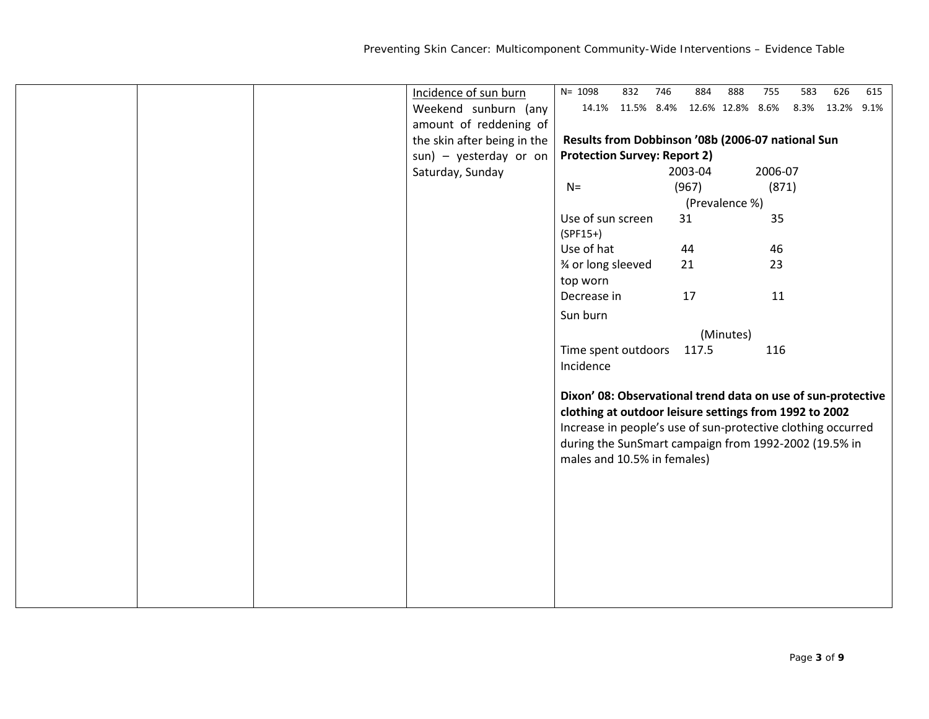|  | Incidence of sun burn       | $N = 1098$                                                   | 832 | 746 | 884     | 888            | 755     | 583  | 626        | 615 |
|--|-----------------------------|--------------------------------------------------------------|-----|-----|---------|----------------|---------|------|------------|-----|
|  | Weekend sunburn (any        | 14.1% 11.5% 8.4% 12.6% 12.8% 8.6%                            |     |     |         |                |         | 8.3% | 13.2% 9.1% |     |
|  | amount of reddening of      |                                                              |     |     |         |                |         |      |            |     |
|  | the skin after being in the | Results from Dobbinson '08b (2006-07 national Sun            |     |     |         |                |         |      |            |     |
|  | sun) - yesterday or on      | <b>Protection Survey: Report 2)</b>                          |     |     |         |                |         |      |            |     |
|  | Saturday, Sunday            |                                                              |     |     | 2003-04 |                | 2006-07 |      |            |     |
|  |                             | $N=$                                                         |     |     | (967)   |                | (871)   |      |            |     |
|  |                             |                                                              |     |     |         | (Prevalence %) |         |      |            |     |
|  |                             | Use of sun screen                                            |     |     | 31      |                | 35      |      |            |     |
|  |                             | $(SPF15+)$                                                   |     |     |         |                |         |      |            |     |
|  |                             | Use of hat                                                   |     |     | 44      |                | 46      |      |            |     |
|  |                             | 3⁄4 or long sleeved                                          |     |     | 21      |                | 23      |      |            |     |
|  |                             | top worn                                                     |     |     |         |                |         |      |            |     |
|  |                             | Decrease in                                                  |     |     | 17      |                | 11      |      |            |     |
|  |                             | Sun burn                                                     |     |     |         |                |         |      |            |     |
|  |                             |                                                              |     |     |         | (Minutes)      |         |      |            |     |
|  |                             | Time spent outdoors                                          |     |     | 117.5   |                | 116     |      |            |     |
|  |                             | Incidence                                                    |     |     |         |                |         |      |            |     |
|  |                             |                                                              |     |     |         |                |         |      |            |     |
|  |                             | Dixon' 08: Observational trend data on use of sun-protective |     |     |         |                |         |      |            |     |
|  |                             | clothing at outdoor leisure settings from 1992 to 2002       |     |     |         |                |         |      |            |     |
|  |                             | Increase in people's use of sun-protective clothing occurred |     |     |         |                |         |      |            |     |
|  |                             | during the SunSmart campaign from 1992-2002 (19.5% in        |     |     |         |                |         |      |            |     |
|  |                             | males and 10.5% in females)                                  |     |     |         |                |         |      |            |     |
|  |                             |                                                              |     |     |         |                |         |      |            |     |
|  |                             |                                                              |     |     |         |                |         |      |            |     |
|  |                             |                                                              |     |     |         |                |         |      |            |     |
|  |                             |                                                              |     |     |         |                |         |      |            |     |
|  |                             |                                                              |     |     |         |                |         |      |            |     |
|  |                             |                                                              |     |     |         |                |         |      |            |     |
|  |                             |                                                              |     |     |         |                |         |      |            |     |
|  |                             |                                                              |     |     |         |                |         |      |            |     |
|  |                             |                                                              |     |     |         |                |         |      |            |     |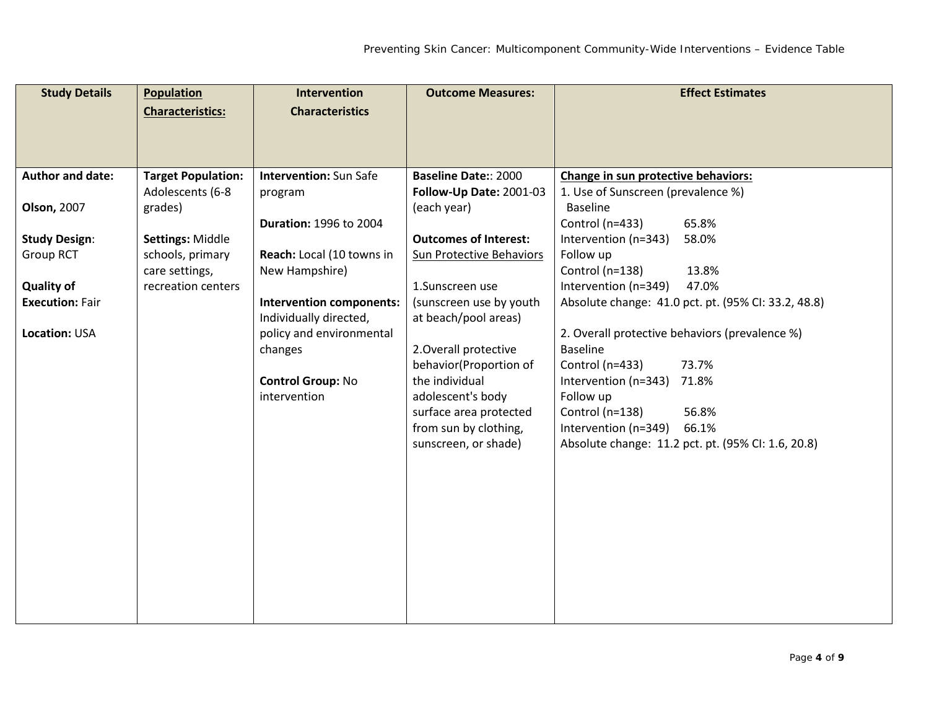| <b>Study Details</b>   | <b>Population</b>         | Intervention                    | <b>Outcome Measures:</b>     | <b>Effect Estimates</b>                             |
|------------------------|---------------------------|---------------------------------|------------------------------|-----------------------------------------------------|
|                        | <b>Characteristics:</b>   | <b>Characteristics</b>          |                              |                                                     |
|                        |                           |                                 |                              |                                                     |
|                        |                           |                                 |                              |                                                     |
|                        |                           |                                 |                              |                                                     |
| Author and date:       | <b>Target Population:</b> | <b>Intervention: Sun Safe</b>   | <b>Baseline Date:: 2000</b>  | Change in sun protective behaviors:                 |
|                        | Adolescents (6-8          | program                         | Follow-Up Date: 2001-03      | 1. Use of Sunscreen (prevalence %)                  |
| <b>Olson, 2007</b>     | grades)                   |                                 | (each year)                  | <b>Baseline</b>                                     |
|                        |                           | <b>Duration: 1996 to 2004</b>   |                              | Control (n=433)<br>65.8%                            |
| <b>Study Design:</b>   | Settings: Middle          |                                 | <b>Outcomes of Interest:</b> | Intervention (n=343)<br>58.0%                       |
| <b>Group RCT</b>       | schools, primary          | Reach: Local (10 towns in       | Sun Protective Behaviors     | Follow up                                           |
|                        | care settings,            | New Hampshire)                  |                              | Control (n=138)<br>13.8%                            |
| <b>Quality of</b>      | recreation centers        |                                 | 1.Sunscreen use              | Intervention (n=349)<br>47.0%                       |
| <b>Execution: Fair</b> |                           | <b>Intervention components:</b> | (sunscreen use by youth      | Absolute change: 41.0 pct. pt. (95% CI: 33.2, 48.8) |
|                        |                           | Individually directed,          | at beach/pool areas)         |                                                     |
| Location: USA          |                           | policy and environmental        |                              | 2. Overall protective behaviors (prevalence %)      |
|                        |                           | changes                         | 2. Overall protective        | <b>Baseline</b>                                     |
|                        |                           |                                 | behavior(Proportion of       | Control (n=433)<br>73.7%                            |
|                        |                           | <b>Control Group: No</b>        | the individual               | Intervention (n=343)<br>71.8%                       |
|                        |                           | intervention                    | adolescent's body            | Follow up                                           |
|                        |                           |                                 | surface area protected       | Control (n=138)<br>56.8%<br>66.1%                   |
|                        |                           |                                 | from sun by clothing,        | Intervention (n=349)                                |
|                        |                           |                                 | sunscreen, or shade)         | Absolute change: 11.2 pct. pt. (95% CI: 1.6, 20.8)  |
|                        |                           |                                 |                              |                                                     |
|                        |                           |                                 |                              |                                                     |
|                        |                           |                                 |                              |                                                     |
|                        |                           |                                 |                              |                                                     |
|                        |                           |                                 |                              |                                                     |
|                        |                           |                                 |                              |                                                     |
|                        |                           |                                 |                              |                                                     |
|                        |                           |                                 |                              |                                                     |
|                        |                           |                                 |                              |                                                     |
|                        |                           |                                 |                              |                                                     |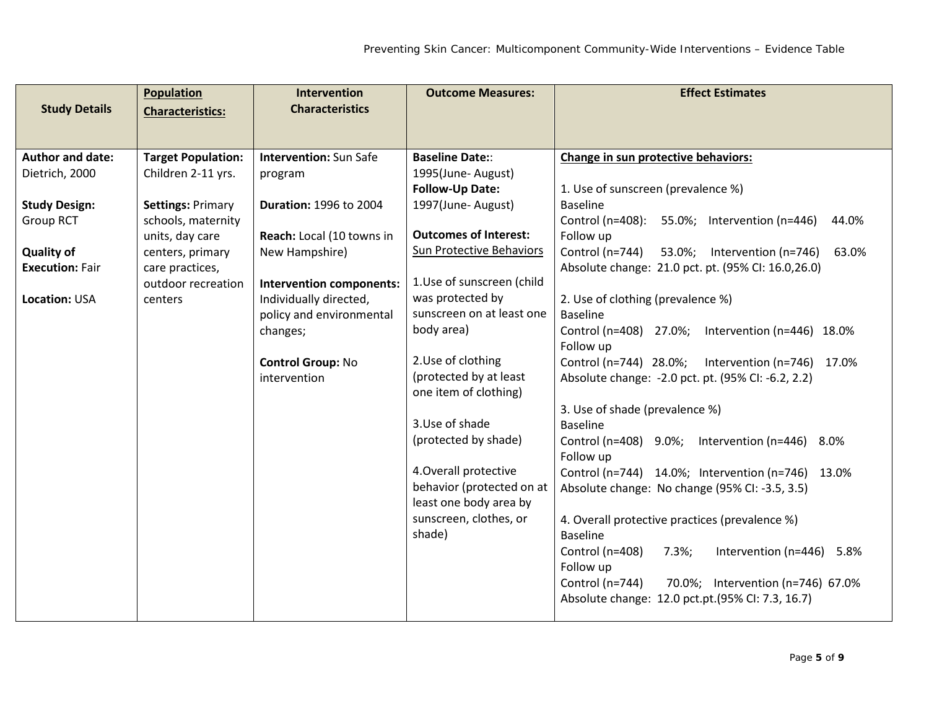| <b>Study Details</b>    | <b>Population</b>         | <b>Intervention</b><br><b>Characteristics</b> | <b>Outcome Measures:</b>                            | <b>Effect Estimates</b>                                    |
|-------------------------|---------------------------|-----------------------------------------------|-----------------------------------------------------|------------------------------------------------------------|
|                         | <b>Characteristics:</b>   |                                               |                                                     |                                                            |
| <b>Author and date:</b> | <b>Target Population:</b> | <b>Intervention: Sun Safe</b>                 | <b>Baseline Date::</b>                              | Change in sun protective behaviors:                        |
| Dietrich, 2000          | Children 2-11 yrs.        | program                                       | 1995(June-August)                                   |                                                            |
|                         |                           |                                               | <b>Follow-Up Date:</b>                              | 1. Use of sunscreen (prevalence %)                         |
| <b>Study Design:</b>    | <b>Settings: Primary</b>  | <b>Duration: 1996 to 2004</b>                 | 1997(June-August)                                   | <b>Baseline</b>                                            |
| <b>Group RCT</b>        | schools, maternity        |                                               |                                                     | Control (n=408):<br>55.0%; Intervention (n=446)<br>44.0%   |
|                         | units, day care           | Reach: Local (10 towns in                     | <b>Outcomes of Interest:</b>                        | Follow up                                                  |
| <b>Quality of</b>       | centers, primary          | New Hampshire)                                | <b>Sun Protective Behaviors</b>                     | Control (n=744)<br>53.0%;<br>Intervention (n=746)<br>63.0% |
| <b>Execution: Fair</b>  | care practices,           |                                               |                                                     | Absolute change: 21.0 pct. pt. (95% CI: 16.0,26.0)         |
|                         | outdoor recreation        | <b>Intervention components:</b>               | 1.Use of sunscreen (child                           |                                                            |
| <b>Location: USA</b>    | centers                   | Individually directed,                        | was protected by                                    | 2. Use of clothing (prevalence %)                          |
|                         |                           | policy and environmental                      | sunscreen on at least one                           | <b>Baseline</b>                                            |
|                         |                           | changes;                                      | body area)                                          | Control (n=408) 27.0%;<br>Intervention ( $n=446$ ) 18.0%   |
|                         |                           |                                               | 2.Use of clothing                                   | Follow up                                                  |
|                         |                           | <b>Control Group: No</b><br>intervention      | (protected by at least                              | Control (n=744) 28.0%;<br>Intervention (n=746) 17.0%       |
|                         |                           |                                               | one item of clothing)                               | Absolute change: -2.0 pct. pt. (95% CI: -6.2, 2.2)         |
|                         |                           |                                               |                                                     | 3. Use of shade (prevalence %)                             |
|                         |                           |                                               | 3. Use of shade                                     | <b>Baseline</b>                                            |
|                         |                           |                                               | (protected by shade)                                | Control (n=408) 9.0%; Intervention (n=446) 8.0%            |
|                         |                           |                                               |                                                     | Follow up                                                  |
|                         |                           |                                               | 4. Overall protective                               | Control (n=744) 14.0%; Intervention (n=746) 13.0%          |
|                         |                           |                                               | behavior (protected on at<br>least one body area by | Absolute change: No change (95% CI: -3.5, 3.5)             |
|                         |                           |                                               | sunscreen, clothes, or                              | 4. Overall protective practices (prevalence %)             |
|                         |                           |                                               | shade)                                              | Baseline                                                   |
|                         |                           |                                               |                                                     | Control (n=408)<br>$7.3\%;$<br>Intervention (n=446) 5.8%   |
|                         |                           |                                               |                                                     | Follow up                                                  |
|                         |                           |                                               |                                                     | Control (n=744)<br>70.0%; Intervention (n=746) 67.0%       |
|                         |                           |                                               |                                                     | Absolute change: 12.0 pct.pt.(95% CI: 7.3, 16.7)           |
|                         |                           |                                               |                                                     |                                                            |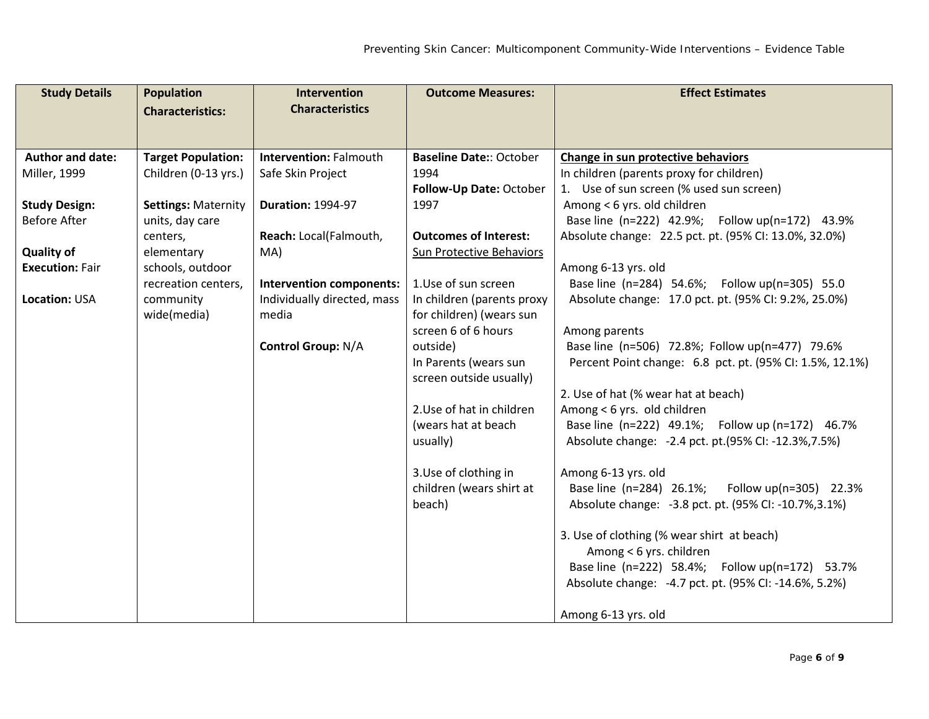| <b>Study Details</b>    | <b>Population</b>          | <b>Intervention</b>             | <b>Outcome Measures:</b>       | <b>Effect Estimates</b>                                  |
|-------------------------|----------------------------|---------------------------------|--------------------------------|----------------------------------------------------------|
|                         | <b>Characteristics:</b>    | <b>Characteristics</b>          |                                |                                                          |
|                         |                            |                                 |                                |                                                          |
| <b>Author and date:</b> | <b>Target Population:</b>  | <b>Intervention: Falmouth</b>   | <b>Baseline Date:: October</b> | Change in sun protective behaviors                       |
| Miller, 1999            | Children (0-13 yrs.)       | Safe Skin Project               | 1994                           | In children (parents proxy for children)                 |
|                         |                            |                                 | Follow-Up Date: October        | 1. Use of sun screen (% used sun screen)                 |
| <b>Study Design:</b>    | <b>Settings: Maternity</b> | <b>Duration: 1994-97</b>        | 1997                           | Among < 6 yrs. old children                              |
| <b>Before After</b>     | units, day care            |                                 |                                | Base line (n=222) 42.9%; Follow up(n=172) 43.9%          |
|                         | centers,                   | Reach: Local(Falmouth,          | <b>Outcomes of Interest:</b>   | Absolute change: 22.5 pct. pt. (95% CI: 13.0%, 32.0%)    |
| <b>Quality of</b>       | elementary                 | MA)                             | Sun Protective Behaviors       |                                                          |
| <b>Execution: Fair</b>  | schools, outdoor           |                                 |                                | Among 6-13 yrs. old                                      |
|                         | recreation centers,        | <b>Intervention components:</b> | 1.Use of sun screen            | Base line (n=284) 54.6%; Follow up(n=305) 55.0           |
| <b>Location: USA</b>    | community                  | Individually directed, mass     | In children (parents proxy     | Absolute change: 17.0 pct. pt. (95% CI: 9.2%, 25.0%)     |
|                         | wide(media)                | media                           | for children) (wears sun       |                                                          |
|                         |                            |                                 | screen 6 of 6 hours            | Among parents                                            |
|                         |                            | <b>Control Group: N/A</b>       | outside)                       | Base line (n=506) 72.8%; Follow up(n=477) 79.6%          |
|                         |                            |                                 | In Parents (wears sun          | Percent Point change: 6.8 pct. pt. (95% CI: 1.5%, 12.1%) |
|                         |                            |                                 | screen outside usually)        |                                                          |
|                         |                            |                                 |                                | 2. Use of hat (% wear hat at beach)                      |
|                         |                            |                                 | 2. Use of hat in children      | Among < 6 yrs. old children                              |
|                         |                            |                                 | (wears hat at beach            | Base line (n=222) 49.1%; Follow up (n=172) 46.7%         |
|                         |                            |                                 | usually)                       | Absolute change: -2.4 pct. pt.(95% CI: -12.3%, 7.5%)     |
|                         |                            |                                 | 3. Use of clothing in          | Among 6-13 yrs. old                                      |
|                         |                            |                                 | children (wears shirt at       | Base line (n=284) 26.1%;<br>Follow $up(n=305)$ 22.3%     |
|                         |                            |                                 | beach)                         | Absolute change: -3.8 pct. pt. (95% CI: -10.7%, 3.1%)    |
|                         |                            |                                 |                                | 3. Use of clothing (% wear shirt at beach)               |
|                         |                            |                                 |                                | Among < 6 yrs. children                                  |
|                         |                            |                                 |                                | Base line (n=222) 58.4%; Follow up(n=172) 53.7%          |
|                         |                            |                                 |                                | Absolute change: -4.7 pct. pt. (95% CI: -14.6%, 5.2%)    |
|                         |                            |                                 |                                |                                                          |
|                         |                            |                                 |                                | Among 6-13 yrs. old                                      |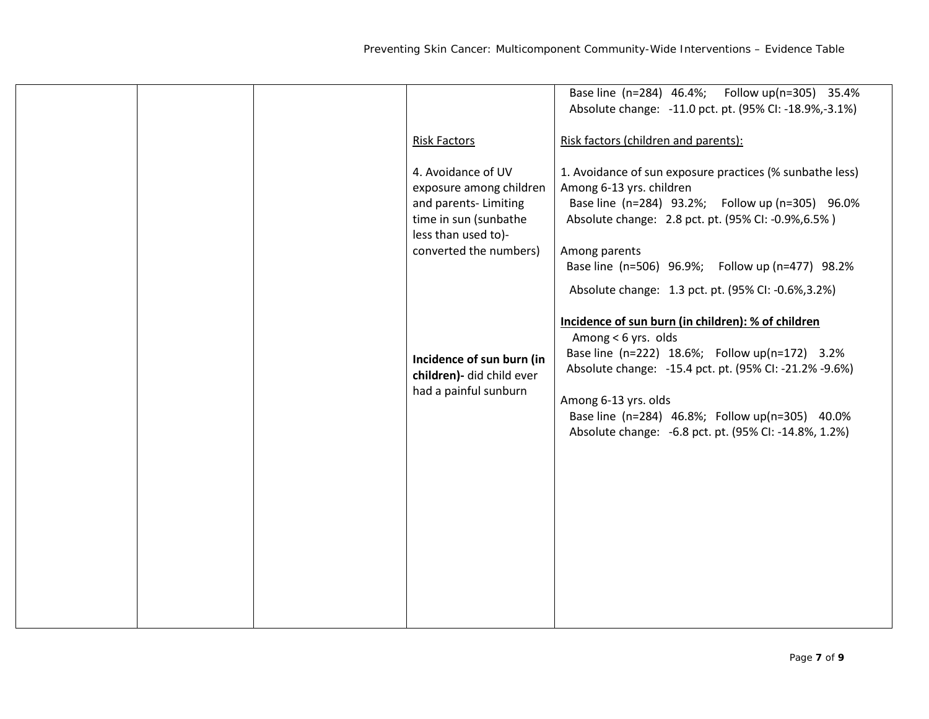|  |                           | Base line (n=284) 46.4%; Follow up(n=305) 35.4%          |
|--|---------------------------|----------------------------------------------------------|
|  |                           | Absolute change: -11.0 pct. pt. (95% CI: -18.9%,-3.1%)   |
|  |                           |                                                          |
|  | <b>Risk Factors</b>       | Risk factors (children and parents):                     |
|  |                           |                                                          |
|  |                           |                                                          |
|  | 4. Avoidance of UV        | 1. Avoidance of sun exposure practices (% sunbathe less) |
|  | exposure among children   | Among 6-13 yrs. children                                 |
|  | and parents- Limiting     | Base line (n=284) 93.2%; Follow up (n=305) 96.0%         |
|  | time in sun (sunbathe     | Absolute change: 2.8 pct. pt. (95% CI: -0.9%, 6.5%)      |
|  | less than used to)-       |                                                          |
|  | converted the numbers)    | Among parents                                            |
|  |                           | Base line (n=506) 96.9%; Follow up (n=477) 98.2%         |
|  |                           |                                                          |
|  |                           | Absolute change: 1.3 pct. pt. (95% CI: -0.6%, 3.2%)      |
|  |                           |                                                          |
|  |                           | Incidence of sun burn (in children): % of children       |
|  |                           | Among < 6 yrs. olds                                      |
|  |                           | Base line (n=222) 18.6%; Follow up(n=172) 3.2%           |
|  | Incidence of sun burn (in |                                                          |
|  | children)- did child ever | Absolute change: -15.4 pct. pt. (95% CI: -21.2% -9.6%)   |
|  | had a painful sunburn     |                                                          |
|  |                           | Among 6-13 yrs. olds                                     |
|  |                           | Base line (n=284) 46.8%; Follow up(n=305) 40.0%          |
|  |                           | Absolute change: -6.8 pct. pt. (95% CI: -14.8%, 1.2%)    |
|  |                           |                                                          |
|  |                           |                                                          |
|  |                           |                                                          |
|  |                           |                                                          |
|  |                           |                                                          |
|  |                           |                                                          |
|  |                           |                                                          |
|  |                           |                                                          |
|  |                           |                                                          |
|  |                           |                                                          |
|  |                           |                                                          |
|  |                           |                                                          |
|  |                           |                                                          |
|  |                           |                                                          |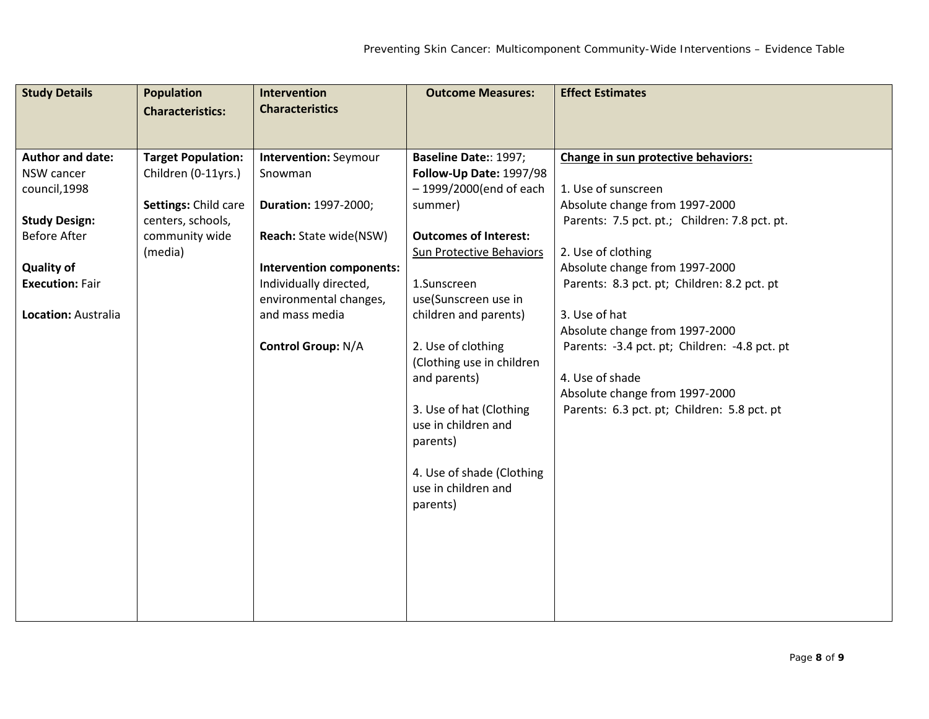| <b>Study Details</b>    | <b>Population</b>         | <b>Intervention</b>          | <b>Outcome Measures:</b>        | <b>Effect Estimates</b>                       |
|-------------------------|---------------------------|------------------------------|---------------------------------|-----------------------------------------------|
|                         | <b>Characteristics:</b>   | <b>Characteristics</b>       |                                 |                                               |
|                         |                           |                              |                                 |                                               |
| <b>Author and date:</b> | <b>Target Population:</b> | <b>Intervention: Seymour</b> | <b>Baseline Date:: 1997;</b>    | Change in sun protective behaviors:           |
| NSW cancer              | Children (0-11yrs.)       | Snowman                      | Follow-Up Date: 1997/98         |                                               |
| council, 1998           |                           |                              | - 1999/2000(end of each         | 1. Use of sunscreen                           |
|                         | Settings: Child care      | Duration: 1997-2000;         | summer)                         | Absolute change from 1997-2000                |
| <b>Study Design:</b>    | centers, schools,         |                              |                                 | Parents: 7.5 pct. pt.; Children: 7.8 pct. pt. |
| <b>Before After</b>     | community wide            | Reach: State wide(NSW)       | <b>Outcomes of Interest:</b>    |                                               |
|                         | (media)                   |                              | <b>Sun Protective Behaviors</b> | 2. Use of clothing                            |
| <b>Quality of</b>       |                           | Intervention components:     |                                 | Absolute change from 1997-2000                |
| <b>Execution: Fair</b>  |                           | Individually directed,       | 1.Sunscreen                     | Parents: 8.3 pct. pt; Children: 8.2 pct. pt   |
|                         |                           | environmental changes,       | use(Sunscreen use in            | 3. Use of hat                                 |
| Location: Australia     |                           | and mass media               | children and parents)           | Absolute change from 1997-2000                |
|                         |                           | <b>Control Group: N/A</b>    | 2. Use of clothing              | Parents: -3.4 pct. pt; Children: -4.8 pct. pt |
|                         |                           |                              | (Clothing use in children       |                                               |
|                         |                           |                              | and parents)                    | 4. Use of shade                               |
|                         |                           |                              |                                 | Absolute change from 1997-2000                |
|                         |                           |                              | 3. Use of hat (Clothing         | Parents: 6.3 pct. pt; Children: 5.8 pct. pt   |
|                         |                           |                              | use in children and             |                                               |
|                         |                           |                              | parents)                        |                                               |
|                         |                           |                              |                                 |                                               |
|                         |                           |                              | 4. Use of shade (Clothing       |                                               |
|                         |                           |                              | use in children and             |                                               |
|                         |                           |                              | parents)                        |                                               |
|                         |                           |                              |                                 |                                               |
|                         |                           |                              |                                 |                                               |
|                         |                           |                              |                                 |                                               |
|                         |                           |                              |                                 |                                               |
|                         |                           |                              |                                 |                                               |
|                         |                           |                              |                                 |                                               |
|                         |                           |                              |                                 |                                               |